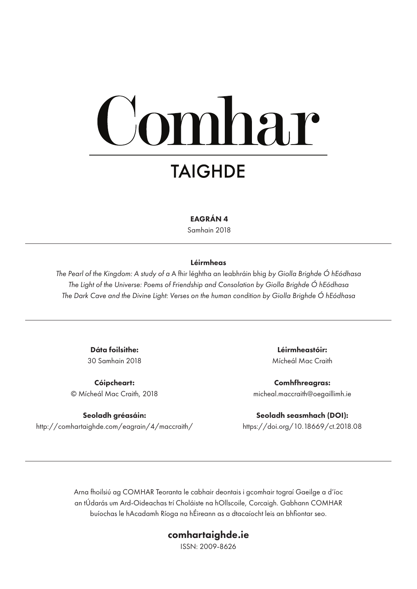# mhar **TAIGHDE**

#### EAGRÁN 4

Samhain 2018

#### Léirmheas

*The Pearl of the Kingdom: A study of a* A fhir léghtha an leabhráin bhig *by Giolla Brighde Ó hEódhasa The Light of the Universe: Poems of Friendship and Consolation by Giolla Brighde Ó hEódhasa The Dark Cave and the Divine Light: Verses on the human condition by Giolla Brighde Ó hEódhasa*

> Dáta foilsithe: 30 Samhain 2018

Cóipcheart: © Mícheál Mac Craith, 2018

Seoladh gréasáin: http://comhartaighde.com/eagrain/4/maccraith/

Léirmheastóir: Mícheál Mac Craith

Comhfhreagras: micheal.maccraith@oegaillimh.ie

Seoladh seasmhach (DOI): https://doi.org/10.18669/ct.2018.08

Arna fhoilsiú ag COMHAR Teoranta le cabhair deontais i gcomhair tograí Gaeilge a d'íoc an tÚdarás um Ard-Oideachas trí Choláiste na hOllscoile, Corcaigh. Gabhann COMHAR buíochas le hAcadamh Ríoga na hÉireann as a dtacaíocht leis an bhfiontar seo.

#### comhartaighde.ie

ISSN: 2009-8626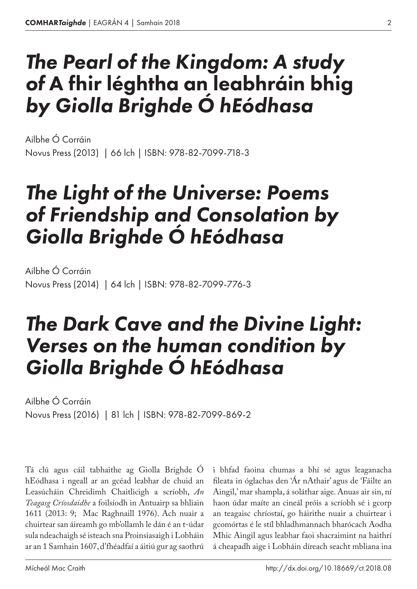# *The Pearl of the Kingdom: A study of* A fhir léghtha an leabhráin bhig *by Giolla Brighde Ó hEódhasa*

Novus Press (2013) | 66 lch | ISBN: 978-82-7099-718-3 Ailbhe Ó Corráin

## *The Light of the Universe: Poems of Friendship and Consolation by Giolla Brighde Ó hEódhasa*

Novus Press (2014) | 64 lch | ISBN: 978-82-7099-776-3 Ailbhe Ó Corráin

## *The Dark Cave and the Divine Light: Verses on the human condition by Giolla Brighde Ó hEódhasa*

Novus Press (2016) | 81 lch | ISBN: 978-82-7099-869-2 Ailbhe Ó Corráin

Tá clú agus cáil tabhaithe ag Giolla Brighde Ó hEódhasa i ngeall ar an gcéad leabhar de chuid an Leasúcháin Chreidimh Chaitlicigh a scríobh, *An Teagasg Críosdaidhe* a foilsíodh in Antuairp sa bhliain 1611 (2013: 9; Mac Raghnaill 1976). Ach nuair a chuirtear san áireamh go mb'ollamh le dán é an t‑údar sula ndeachaigh sé isteach sna Proinsiasaigh i Lobháin ar an 1 Samhain 1607, d'fhéadfaí a áitiú gur ag saothrú

i bhfad faoina chumas a bhí sé agus leaganacha fileata in óglachas den 'Ár nAthair' agus de 'Fáilte an Aingil,' mar shampla, á soláthar aige. Anuas air sin, ní haon údar maíte an cineál próis a scríobh sé i gcorp an teagaisc chríostaí, go háirithe nuair a chuirtear i gcomórtas é le stíl bhladhmannach bharócach Aodha Mhic Aingil agus leabhar faoi shacraimint na haithrí á cheapadh aige i Lobháin díreach seacht mbliana ina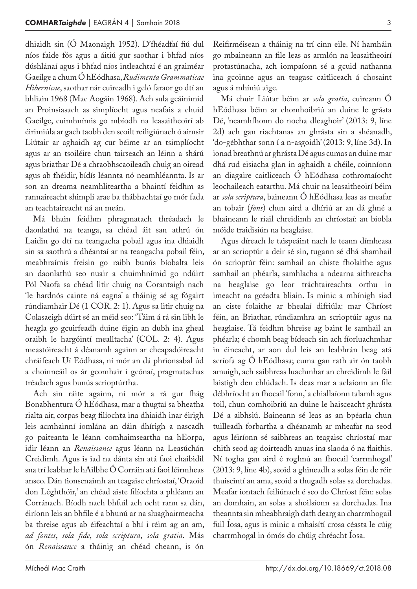dhiaidh sin (Ó Maonaigh 1952). D'fhéadfaí fiú dul níos faide fós agus a áitiú gur saothar i bhfad níos dúshlánaí agus i bhfad níos intleachtaí é an graiméar Gaeilge a chum Ó hEódhasa, *Rudimenta Grammaticae Hibernicae*, saothar nár cuireadh i gcló faraor go dtí an bhliain 1968 (Mac Aogáin 1968). Ach sula gcáinimid an Proinsiasach as simplíocht agus neafais a chuid Gaeilge, cuimhnímis go mbíodh na leasaitheoirí ab éirimiúla ar gach taobh den scoilt reiligiúnach ó aimsir Liútair ar aghaidh ag cur béime ar an tsimplíocht agus ar an tsoiléire chun tairseach an léinn a shárú agus briathar Dé a chraobhscaoileadh chuig an oiread agus ab fhéidir, bídís léannta nó neamhléannta. Is ar son an dreama neamhliteartha a bhaintí feidhm as rannaireacht shimplí arae ba thábhachtaí go mór fada an teachtaireacht ná an meán.

Má bhain feidhm phragmatach thréadach le daonlathú na teanga, sa chéad áit san athrú ón Laidin go dtí na teangacha pobail agus ina dhiaidh sin sa saothrú a dhéantaí ar na teangacha pobail féin, meabhraímis freisin go raibh bunús bíobalta leis an daonlathú seo nuair a chuimhnímid go ndúirt Pól Naofa sa chéad litir chuig na Corantaigh nach 'le hardnós cainte ná eagna' a tháinig sé ag fógairt rúndiamhair Dé (1 COR. 2: 1). Agus sa litir chuig na Colasaeigh dúirt sé an méid seo: 'Táim á rá sin libh le heagla go gcuirfeadh duine éigin an dubh ina gheal oraibh le hargóintí mealltacha' (COL. 2: 4). Agus meastóireacht á déanamh againn ar cheapadóireacht chráifeach Uí Eódhasa, ní mór an dá phrionsabal úd a choinneáil os ár gcomhair i gcónaí, pragmatachas tréadach agus bunús scrioptúrtha.

Ach sin ráite againn, ní mór a rá gur fhág Bonabhentura Ó hEódhasa, mar a thugtaí sa bheatha rialta air, corpas beag filíochta ina dhiaidh inar éirigh leis acmhainní iomlána an dáin dhírigh a nascadh go paiteanta le léann comhaimseartha na hEorpa, idir léann an *Renaissance* agus léann na Leasúchán Creidimh. Agus is iad na dánta sin atá faoi chaibidil sna trí leabhar le hAilbhe Ó Corráin atá faoi léirmheas anseo. Dán tionscnaimh an teagaisc chríostaí, 'Oraoid don Léghthóir,' an chéad aiste filíochta a phléann an Corránach. Bíodh nach bhfuil ach ocht rann sa dán, éiríonn leis an bhfile é a bhunú ar na sluaghairmeacha ba threise agus ab éifeachtaí a bhí i réim ag an am, *ad fontes*, *sola fide*, *sola scriptura*, *sola gratia*. Más ón *Renaissance* a tháinig an chéad cheann, is ón

Reifirméisean a tháinig na trí cinn eile. Ní hamháin go mbaineann an file leas as armlón na leasaitheoirí protastúnacha, ach iompaíonn sé a gcuid nathanna ina gcoinne agus an teagasc caitliceach á chosaint agus á mhíniú aige.

Má chuir Liútar béim ar *sola gratia*, cuireann Ó hEódhasa béim ar chomhoibriú an duine le grásta Dé, 'neamhfhonn do nocha dleaghoir' (2013: 9, líne 2d) ach gan riachtanas an ghrásta sin a shéanadh, 'do-gébhthar sonn í a n‑asgoidh' (2013: 9, líne 3d). In ionad breathnú ar ghrásta Dé agus cumas an duine mar dhá rud eisiacha glan in aghaidh a chéile, coinníonn an diagaire caitliceach Ó hEódhasa cothromaíocht leochaileach eatarthu. Má chuir na leasaitheoirí béim ar *sola scriptura*, baineann Ó hEódhasa leas as meafar an tobair (*fons*) chun aird a dhíriú ar an dá ghné a bhaineann le riail chreidimh an chríostaí: an bíobla móide traidisiún na heaglaise.

Agus díreach le taispeáint nach le teann dímheasa ar an scrioptúr a deir sé sin, tugann sé dhá shamhail ón scrioptúr féin: samhail an chiste fholaithe agus samhail an phéarla, samhlacha a ndearna aithreacha na heaglaise go leor tráchtaireachta orthu in imeacht na gcéadta bliain. Is minic a mhínigh siad an ciste folaithe ar bhealaí difriúla: mar Chríost féin, an Briathar, rúndiamhra an scrioptúir agus na heaglaise. Tá feidhm bhreise ag baint le samhail an phéarla; é chomh beag bídeach sin ach fíorluachmhar in éineacht, ar aon dul leis an leabhrán beag atá scríofa ag Ó hEódhasa; cuma gan rath air ón taobh amuigh, ach saibhreas luachmhar an chreidimh le fáil laistigh den chlúdach. Is deas mar a aclaíonn an file débhríocht an fhocail 'fonn,' a chiallaíonn talamh agus toil, chun comhoibriú an duine le haisceacht ghrásta Dé a aibhsiú. Baineann sé leas as an bpéarla chun tuilleadh forbartha a dhéanamh ar mheafar na seod agus léiríonn sé saibhreas an teagaisc chríostaí mar chith seod ag doirteadh anuas ina slaoda ó na flaithis. Ní togha gan aird é roghnú an fhocail 'carrmhogal' (2013: 9, líne 4b), seoid a ghineadh a solas féin de réir thuiscintí an ama, seoid a thugadh solas sa dorchadas. Meafar iontach feiliúnach é seo do Chríost féin: solas an domhain, an solas a shoilsíonn sa dorchadas. Ina theannta sin mheabhraigh dath dearg an charrmhogail fuil Íosa, agus is minic a mhaisítí crosa céasta le cúig charrmhogal in ómós do chúig chréacht Íosa.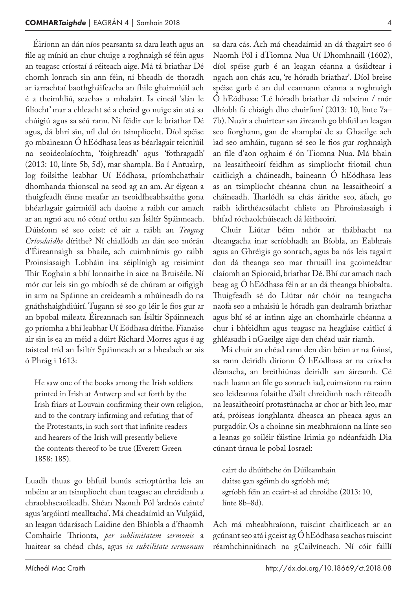Éiríonn an dán níos pearsanta sa dara leath agus an file ag míniú an chur chuige a roghnaigh sé féin agus an teagasc críostaí á réiteach aige. Má tá briathar Dé chomh lonrach sin ann féin, ní bheadh de thoradh ar iarrachtaí baothgháifeacha an fhile ghairmiúil ach é a theimhliú, seachas a mhalairt. Is cineál 'slán le filíocht' mar a chleacht sé a cheird go nuige sin atá sa chúigiú agus sa séú rann. Ní féidir cur le briathar Dé agus, dá bhrí sin, níl dul ón tsimplíocht. Díol spéise go mbaineann Ó hEódhasa leas as béarlagair teicniúil na seoideolaíochta, 'foighreadh' agus 'fothragadh' (2013: 10, línte 5b, 5d), mar shampla. Ba í Antuairp, log foilsithe leabhar Uí Eódhasa, príomhchathair dhomhanda thionscal na seod ag an am. Ar éigean a thuigfeadh éinne meafar an tseoidfheabhsaithe gona bhéarlagair gairmiúil ach daoine a raibh cur amach ar an ngnó acu nó cónaí orthu san Ísiltír Spáinneach. Dúisíonn sé seo ceist: cé air a raibh an *Teagasg Críosdaidhe* dírithe? Ní chiallódh an dán seo mórán d'Éireannaigh sa bhaile, ach cuimhnímis go raibh Proinsiasaigh Lobháin ina séiplínigh ag reisimint Thír Eoghain a bhí lonnaithe in aice na Bruiséile. Ní mór cur leis sin go mbíodh sé de chúram ar oifigigh in arm na Spáinne an creideamh a mhúineadh do na gnáthshaighdiúirí. Tugann sé seo go léir le fios gur ar an bpobal míleata Éireannach san Ísiltír Spáinneach go príomha a bhí leabhar Uí Eódhasa dírithe. Fianaise air sin is ea an méid a dúirt Richard Morres agus é ag taisteal tríd an Ísiltír Spáinneach ar a bhealach ar ais ó Phrág i 1613:

He saw one of the books among the Irish soldiers printed in Irish at Antwerp and set forth by the Irish friars at Louvain confirming their own religion, and to the contrary infirming and refuting that of the Protestants, in such sort that infinite readers and hearers of the Irish will presently believe the contents thereof to be true (Everett Green 1858: 185).

Luadh thuas go bhfuil bunús scrioptúrtha leis an mbéim ar an tsimplíocht chun teagasc an chreidimh a chraobhscaoileadh. Shéan Naomh Pól 'ardnós cainte' agus 'argóintí mealltacha'. Má cheadaímid an Vulgáid, an leagan údarásach Laidine den Bhíobla a d'fhaomh Comhairle Thrionta, *per sublimitatem sermonis* a luaitear sa chéad chás, agus *in subtilitate sermonum*

sa dara cás. Ach má cheadaímid an dá thagairt seo ó Naomh Pól i dTiomna Nua Uí Dhomhnaill (1602), díol spéise gurb é an leagan céanna a úsáidtear i ngach aon chás acu, 're hóradh briathar'. Díol breise spéise gurb é an dul ceannann céanna a roghnaigh Ó hEódhasa: 'Lé hóradh briathar dá mbeinn / mór dhíobh fá chiaigh dho chuirfinn' (2013: 10, línte 7a– 7b). Nuair a chuirtear san áireamh go bhfuil an leagan seo fíorghann, gan de shamplaí de sa Ghaeilge ach iad seo amháin, tugann sé seo le fios gur roghnaigh an file d'aon oghaim é ón Tiomna Nua. Má bhain na leasaitheoirí feidhm as simplíocht friotail chun caitlicigh a cháineadh, baineann Ó hEódhasa leas as an tsimplíocht chéanna chun na leasaitheoirí a cháineadh. Tharlódh sa chás áirithe seo, áfach, go raibh idirthéacsúlacht chliste an Phroinsiasaigh i bhfad róchaolchúiseach dá léitheoirí.

Chuir Liútar béim mhór ar thábhacht na dteangacha inar scríobhadh an Bíobla, an Eabhrais agus an Ghréigis go sonrach, agus ba nós leis tagairt don dá theanga seo mar thruaill ina gcoimeádtar claíomh an Spioraid, briathar Dé. Bhí cur amach nach beag ag Ó hEódhasa féin ar an dá theanga bhíobalta. Thuigfeadh sé do Liútar nár chóir na teangacha naofa seo a mhaisiú le hóradh gan dealramh briathar agus bhí sé ar intinn aige an chomhairle chéanna a chur i bhfeidhm agus teagasc na heaglaise caitlicí á ghléasadh i nGaeilge aige den chéad uair riamh.

Má chuir an chéad rann den dán béim ar na foinsí, sa rann deiridh díríonn Ó hEódhasa ar na críocha déanacha, an breithiúnas deiridh san áireamh. Cé nach luann an file go sonrach iad, cuimsíonn na rainn seo leideanna folaithe d'ailt chreidimh nach réiteodh na leasaitheoirí protastúnacha ar chor ar bith leo, mar atá, próiseas íonghlanta dheasca an pheaca agus an purgadóir. Os a choinne sin meabhraíonn na línte seo a leanas go soiléir fáistine Irimia go ndéanfaidh Dia cúnant úrnua le pobal Iosrael:

cairt do dhúithche ón Dúileamhain daitse gan sgéimh do sgríobh mé; sgríobh féin an ccairt-si ad chroidhe (2013: 10, línte 8b–8d).

Ach má mheabhraíonn, tuiscint chaitliceach ar an gcúnant seo atá i gceist ag Ó hEódhasa seachas tuiscint réamhchinniúnach na gCailvíneach. Ní cóir faillí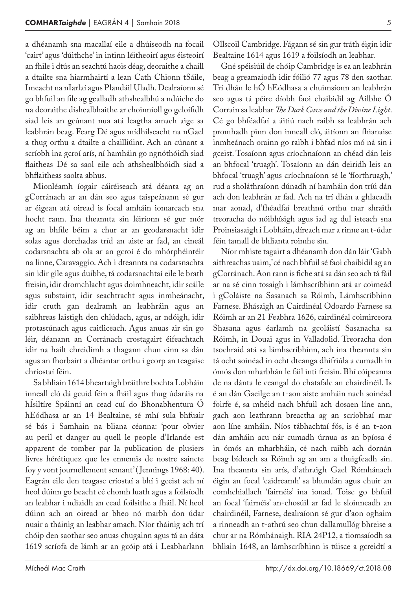a dhéanamh sna macallaí eile a dhúiseodh na focail 'cairt' agus 'dúithche' in intinn léitheoirí agus éisteoirí an fhile i dtús an seachtú haois déag, deoraithe a chaill a dtailte sna hiarmhairtí a lean Cath Chionn tSáile, Imeacht na nIarlaí agus Plandáil Uladh. Dealraíonn sé go bhfuil an file ag gealladh athshealbhú a ndúiche do na deoraithe díshealbhaithe ar choinníoll go gcloífidh siad leis an gcúnant nua atá leagtha amach aige sa leabhrán beag. Fearg Dé agus mídhílseacht na nGael a thug orthu a dtailte a chailliúint. Ach an cúnant a scríobh ina gcroí arís, ní hamháin go ngnóthóidh siad flaitheas Dé sa saol eile ach athshealbhóidh siad a bhflaitheas saolta abhus.

Mionléamh íogair cáiréiseach atá déanta ag an gCorránach ar an dán seo agus taispeánann sé gur ar éigean atá oiread is focal amháin iomarcach sna hocht rann. Ina theannta sin léiríonn sé gur mór ag an bhfile béim a chur ar an gcodarsnacht idir solas agus dorchadas tríd an aiste ar fad, an cineál codarsnachta ab ola ar an gcroí é do mhórphéintéir na linne, Caravaggio. Ach i dteannta na codarsnachta sin idir gile agus duibhe, tá codarsnachtaí eile le brath freisin, idir dromchlacht agus doimhneacht, idir scáile agus substaint, idir seachtracht agus inmheánacht, idir cruth gan dealramh an leabhráin agus an saibhreas laistigh den chlúdach, agus, ar ndóigh, idir protastúnach agus caitliceach. Agus anuas air sin go léir, déanann an Corránach crostagairt éifeachtach idir na hailt chreidimh a thagann chun cinn sa dán agus an fhorbairt a dhéantar orthu i gcorp an teagaisc chríostaí féin.

Sa bhliain 1614 bheartaigh bráithre bochta Lobháin inneall cló dá gcuid féin a fháil agus thug údaráis na hÍsiltíre Spáinní an cead cuí do Bhonabhentura Ó hEódhasa ar an 14 Bealtaine, sé mhí sula bhfuair sé bás i Samhain na bliana céanna: 'pour obvier au peril et danger au quell le people d'Irlande est apparent de tomber par la publication de plusiers livres hérétiquez que les ennemis de nostre saincte foy y vont journellement semant' ( Jennings 1968: 40). Eagrán eile den teagasc críostaí a bhí i gceist ach ní heol dúinn go beacht cé chomh luath agus a foilsíodh an leabhar i ndiaidh an cead foilsithe a fháil. Ní heol dúinn ach an oiread ar bheo nó marbh don údar nuair a tháinig an leabhar amach. Níor tháinig ach trí chóip den saothar seo anuas chugainn agus tá an dáta 1619 scríofa de lámh ar an gcóip atá i Leabharlann

Ollscoil Cambridge. Fágann sé sin gur tráth éigin idir Bealtaine 1614 agus 1619 a foilsíodh an leabhar.

Gné spéisiúil de chóip Cambridge is ea an leabhrán beag a greamaíodh idir fóilió 77 agus 78 den saothar. Trí dhán le hÓ hEódhasa a chuimsíonn an leabhrán seo agus tá péire díobh faoi chaibidil ag Ailbhe Ó Corrain sa leabhar *The Dark Cave and the Divine Light*. Cé go bhféadfaí a áitiú nach raibh sa leabhrán ach promhadh pinn don inneall cló, áitíonn an fhianaise inmheánach orainn go raibh i bhfad níos mó ná sin i gceist. Tosaíonn agus críochnaíonn an chéad dán leis an bhfocal 'truagh'. Tosaíonn an dán deiridh leis an bhfocal 'truagh' agus críochnaíonn sé le 'fíorthruagh,' rud a sholáthraíonn dúnadh ní hamháin don tríú dán ach don leabhrán ar fad. Ach na trí dhán a ghlacadh mar aonad, d'fhéadfaí breathnú orthu mar shraith treoracha do nóibhísigh agus iad ag dul isteach sna Proinsiasaigh i Lobháin, díreach mar a rinne an t‑údar féin tamall de bhlianta roimhe sin.

Níor mhiste tagairt a dhéanamh don dán láir 'Gabh aithreachas uaim,' cé nach bhfuil sé faoi chaibidil ag an gCorránach. Aon rann is fiche atá sa dán seo ach tá fáil ar na sé cinn tosaigh i lámhscríbhinn atá ar coimeád i gColáiste na Sasanach sa Róimh, Lámhscríbhinn Farnese. Bhásaigh an Cairdinéal Odoardo Farnese sa Róimh ar an 21 Feabhra 1626, cairdinéal coimirceora Shasana agus éarlamh na gcoláistí Sasanacha sa Róimh, in Douai agus in Valladolid. Treoracha don tsochraid atá sa lámhscríbhinn, ach ina theannta sin tá ocht soinéad in ocht dteanga dhifriúla a cumadh in ómós don mharbhán le fáil inti freisin. Bhí cóipeanna de na dánta le ceangal do chatafalc an chairdinéil. Is é an dán Gaeilge an t‑aon aiste amháin nach soinéad foirfe é, sa mhéid nach bhfuil ach dosaen líne ann, gach aon leathrann breactha ag an scríobhaí mar aon líne amháin. Níos tábhachtaí fós, is é an t‑aon dán amháin acu nár cumadh úrnua as an bpíosa é in ómós an mharbháin, cé nach raibh ach dornán beag bídeach sa Róimh ag an am a thuigfeadh sin. Ina theannta sin arís, d'athraigh Gael Rómhánach éigin an focal 'caidreamh' sa bhundán agus chuir an comhchiallach 'fairnéis' ina ionad. Toisc go bhfuil an focal 'fairnéis' an-chosúil ar fad le sloinneadh an chairdinéil, Farnese, dealraíonn sé gur d'aon oghaim a rinneadh an t‑athrú seo chun dallamullóg bhreise a chur ar na Rómhánaigh. RIA 24P12, a tiomsaíodh sa bhliain 1648, an lámhscríbhinn is túisce a gcreidtí a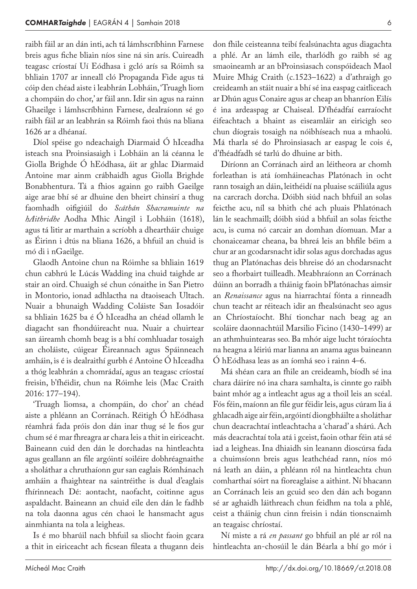raibh fáil ar an dán inti, ach tá lámhscríbhinn Farnese breis agus fiche bliain níos sine ná sin arís. Cuireadh teagasc críostaí Uí Eódhasa i gcló arís sa Róimh sa bhliain 1707 ar inneall cló Propaganda Fide agus tá cóip den chéad aiste i leabhrán Lobháin, 'Truagh liom a chompáin do chor,' ar fáil ann. Idir sin agus na rainn Ghaeilge i lámhscríbhinn Farnese, dealraíonn sé go raibh fáil ar an leabhrán sa Róimh faoi thús na bliana 1626 ar a dhéanaí.

Díol spéise go ndeachaigh Diarmaid Ó hIceadha isteach sna Proinsiasaigh i Lobháin an lá céanna le Giolla Brighde Ó hEódhasa, áit ar ghlac Diarmaid Antoine mar ainm crábhaidh agus Giolla Brighde Bonabhentura. Tá a fhios againn go raibh Gaeilge aige arae bhí sé ar dhuine den bheirt chinsirí a thug faomhadh oifigiúil do *Scáthán Shacramuinte na hAithridhe* Aodha Mhic Aingil i Lobháin (1618), agus tá litir ar marthain a scríobh a dheartháir chuige as Éirinn i dtús na bliana 1626, a bhfuil an chuid is mó di i nGaeilge.

Glaodh Antoine chun na Róimhe sa bhliain 1619 chun cabhrú le Lúcás Wadding ina chuid taighde ar stair an oird. Chuaigh sé chun cónaithe in San Pietro in Montorio, ionad adhlactha na dtaoiseach Ultach. Nuair a bhunaigh Wadding Coláiste San Iosadóir sa bhliain 1625 ba é Ó hIceadha an chéad ollamh le diagacht san fhondúireacht nua. Nuair a chuirtear san áireamh chomh beag is a bhí comhluadar tosaigh an choláiste, cúigear Éireannach agus Spáinneach amháin, is é is dealraithí gurbh é Antoine Ó hIceadha a thóg leabhrán a chomrádaí, agus an teagasc críostaí freisin, b'fhéidir, chun na Róimhe leis (Mac Craith 2016: 177–194).

'Truagh liomsa, a chompáin, do chor' an chéad aiste a phléann an Corránach. Réitigh Ó hEódhasa réamhrá fada próis don dán inar thug sé le fios gur chum sé é mar fhreagra ar chara leis a thit in eiriceacht. Baineann cuid den dán le dorchadas na hintleachta agus geallann an file argóintí soiléire dobhréagnaithe a sholáthar a chruthaíonn gur san eaglais Rómhánach amháin a fhaightear na saintréithe is dual d'eaglais fhírinneach Dé: aontacht, naofacht, coitinne agus aspaldacht. Baineann an chuid eile den dán le fadhb na tola daonna agus cén chaoi le hansmacht agus ainmhianta na tola a leigheas.

Is é mo bharúil nach bhfuil sa sliocht faoin gcara a thit in eiriceacht ach ficsean fileata a thugann deis don fhile ceisteanna teibí fealsúnachta agus diagachta a phlé. Ar an lámh eile, tharlódh go raibh sé ag smaoineamh ar an bProinsiasach conspóideach Maol Muire Mhág Craith (c.1523–1622) a d'athraigh go creideamh an stáit nuair a bhí sé ina easpag caitliceach ar Dhún agus Conaire agus ar cheap an bhanríon Eilís é ina ardeaspag ar Chaiseal. D'fhéadfaí earraíocht éifeachtach a bhaint as eiseamláir an eiricigh seo chun díograis tosaigh na nóibhíseach nua a mhaolú. Má tharla sé do Phroinsiasach ar easpag le cois é, d'fhéadfadh sé tarlú do dhuine ar bith.

Díríonn an Corránach aird an léitheora ar chomh forleathan is atá íomháineachas Platónach in ocht rann tosaigh an dáin, leithéidí na pluaise scáiliúla agus na carcrach dorcha. Dóibh siúd nach bhfuil an solas feicthe acu, níl sa bhith ché ach pluais Phlatónach lán le seachmaill; dóibh siúd a bhfuil an solas feicthe acu, is cuma nó carcair an domhan díomuan. Mar a chonaiceamar cheana, ba bhreá leis an bhfile béim a chur ar an gcodarsnacht idir solas agus dorchadas agus thug an Platónachas deis bhreise dó an chodarsnacht seo a fhorbairt tuilleadh. Meabhraíonn an Corránach dúinn an borradh a tháinig faoin bPlatónachas aimsir an *Renaissance* agus na hiarrachtaí fónta a rinneadh chun teacht ar réiteach idir an fhealsúnacht seo agus an Chríostaíocht. Bhí tionchar nach beag ag an scoláire daonnachtúil Marsilio Ficino (1430–1499) ar an athmhuintearas seo. Ba mhór aige lucht tóraíochta na heagna a léiriú mar lianna an anama agus baineann Ó hEódhasa leas as an íomhá seo i rainn 4–6.

Má shéan cara an fhile an creideamh, bíodh sé ina chara dáiríre nó ina chara samhalta, is cinnte go raibh baint mhór ag a intleacht agus ag a thoil leis an scéal. Fós féin, maíonn an file gur féidir leis, agus cúram lia á ghlacadh aige air féin, argóintí diongbháilte a sholáthar chun deacrachtaí intleachtacha a 'charad' a shárú. Ach más deacrachtaí tola atá i gceist, faoin othar féin atá sé iad a leigheas. Ina dhiaidh sin leanann dioscúrsa fada a chuimsíonn breis agus leathchéad rann, níos mó ná leath an dáin, a phléann ról na hintleachta chun comharthaí sóirt na fíoreaglaise a aithint. Ní bhacann an Corránach leis an gcuid seo den dán ach bogann sé ar aghaidh láithreach chun feidhm na tola a phlé, ceist a tháinig chun cinn freisin i ndán tionscnaimh an teagaisc chríostaí.

Ní miste a rá *en passant* go bhfuil an plé ar ról na hintleachta an-chosúil le dán Béarla a bhí go mór i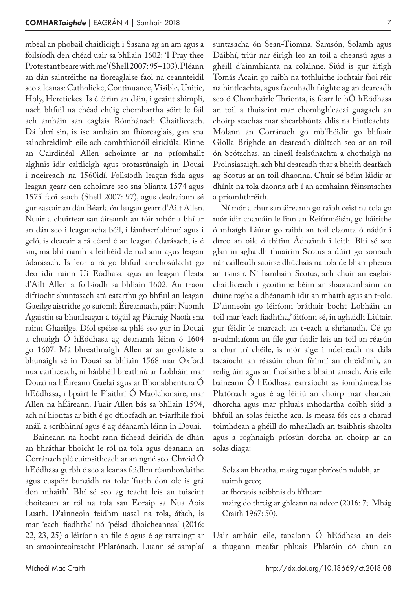mbéal an phobail chaitlicigh i Sasana ag an am agus a foilsíodh den chéad uair sa bhliain 1602: 'I Pray thee Protestant beare with me' (Shell 2007: 95-103). Pléann an dán saintréithe na fíoreaglaise faoi na ceannteidil seo a leanas: Catholicke, Continuance, Visible, Unitie, Holy, Heretickes. Is é éirim an dáin, i gcaint shimplí, nach bhfuil na chéad chúig chomhartha sóirt le fáil ach amháin san eaglais Rómhánach Chaitliceach. Dá bhrí sin, is ise amháin an fhíoreaglais, gan sna sainchreidimh eile ach comhthionóil eiriciúla. Rinne an Cairdinéal Allen achoimre ar na príomhailt aighnis idir caitlicigh agus protastúnaigh in Douai i ndeireadh na 1560idí. Foilsíodh leagan fada agus leagan gearr den achoimre seo sna blianta 1574 agus 1575 faoi seach (Shell 2007: 97), agus dealraíonn sé gur eascair an dán Béarla ón leagan gearr d'Ailt Allen. Nuair a chuirtear san áireamh an tóir mhór a bhí ar an dán seo i leaganacha béil, i lámhscríbhinní agus i gcló, is deacair a rá céard é an leagan údarásach, is é sin, má bhí riamh a leithéid de rud ann agus leagan údarásach. Is leor a rá go bhfuil an-chosúlacht go deo idir rainn Uí Eódhasa agus an leagan fileata d'Ailt Allen a foilsíodh sa bhliain 1602. An t‑aon difríocht shuntasach atá eatarthu go bhfuil an leagan Gaeilge aistrithe go suíomh Éireannach, páirt Naomh Agaistín sa bhunleagan á tógáil ag Pádraig Naofa sna rainn Ghaeilge. Díol spéise sa phlé seo gur in Douai a chuaigh Ó hEódhasa ag déanamh léinn ó 1604 go 1607. Má bhreathnaigh Allen ar an gcoláiste a bhunaigh sé in Douai sa bhliain 1568 mar Oxford nua caitliceach, ní háibhéil breathnú ar Lobháin mar Douai na hÉireann Gaelaí agus ar Bhonabhentura Ó hEódhasa, i bpáirt le Flaithrí Ó Maolchonaire, mar Allen na hÉireann. Fuair Allen bás sa bhliain 1594, ach ní hiontas ar bith é go dtiocfadh an t‑iarfhile faoi anáil a scríbhinní agus é ag déanamh léinn in Douai.

Baineann na hocht rann fichead deiridh de dhán an bhráthar bhoicht le ról na tola agus déanann an Corránach plé cuimsitheach ar an ngné seo. Chreid Ó hEódhasa gurbh é seo a leanas feidhm réamhordaithe agus cuspóir bunaidh na tola: 'fuath don olc is grá don mhaith'. Bhí sé seo ag teacht leis an tuiscint choiteann ar ról na tola san Eoraip sa Nua-Aois Luath. D'ainneoin feidhm uasal na tola, áfach, is mar 'each fiadhtha' nó 'péisd dhoicheannsa' (2016: 22, 23, 25) a léiríonn an file é agus é ag tarraingt ar an smaointeoireacht Phlatónach. Luann sé samplaí

suntasacha ón Sean-Tiomna, Samsón, Solamh agus Dáibhí, triúr nár éirigh leo an toil a cheansú agus a ghéill d'ainmhianta na colainne. Siúd is gur áitigh Tomás Acain go raibh na tothluithe íochtair faoi réir na hintleachta, agus faomhadh faighte ag an dearcadh seo ó Chomhairle Thrionta, is fearr le hÓ hEódhasa an toil a thuiscint mar chomhghleacaí guagach an choirp seachas mar shearbhónta dílis na hintleachta. Molann an Corránach go mb'fhéidir go bhfuair Giolla Brighde an dearcadh diúltach seo ar an toil ón Scótachas, an cineál fealsúnachta a chothaigh na Proinsiasaigh, ach bhí dearcadh thar a bheith dearfach ag Scotus ar an toil dhaonna. Chuir sé béim láidir ar dhínit na tola daonna arb í an acmhainn féinsmachta a príomhthréith.

Ní mór a chur san áireamh go raibh ceist na tola go mór idir chamáin le linn an Reifirméisin, go háirithe ó mhaígh Liútar go raibh an toil claonta ó nádúr i dtreo an oilc ó thitim Ádhaimh i leith. Bhí sé seo glan in aghaidh thuairim Scotus a dúirt go sonrach nár cailleadh saoirse dhúchais na tola de bharr pheaca an tsinsir. Ní hamháin Scotus, ach chuir an eaglais chaitliceach i gcoitinne béim ar shaoracmhainn an duine rogha a dhéanamh idir an mhaith agus an t‑olc. D'ainneoin go léiríonn bráthair bocht Lobháin an toil mar 'each fiadhtha,' áitíonn sé, in aghaidh Liútair, gur féidir le marcach an t‑each a shrianadh. Cé go n‑admhaíonn an file gur féidir leis an toil an réasún a chur trí chéile, is mór aige i ndeireadh na dála tacaíocht an réasúin chun fírinní an chreidimh, an reiligiúin agus an fhoilsithe a bhaint amach. Arís eile baineann Ó hEódhasa earraíocht as íomháineachas Platónach agus é ag léiriú an choirp mar charcair dhorcha agus mar phluais mhodartha dóibh siúd a bhfuil an solas feicthe acu. Is measa fós cás a charad toimhdean a ghéill do mhealladh an tsaibhris shaolta agus a roghnaigh príosún dorcha an choirp ar an solas diaga:

Solas an bheatha, mairg tugar phríosún ndubh, ar uaimh gceo; ar fhoraois aoibhnis do b'fhearr mairg do thréig ar ghleann na ndeor (2016: 7; Mhág Craith 1967: 50).

Uair amháin eile, tapaíonn Ó hEódhasa an deis a thugann meafar phluais Phlatóin dó chun an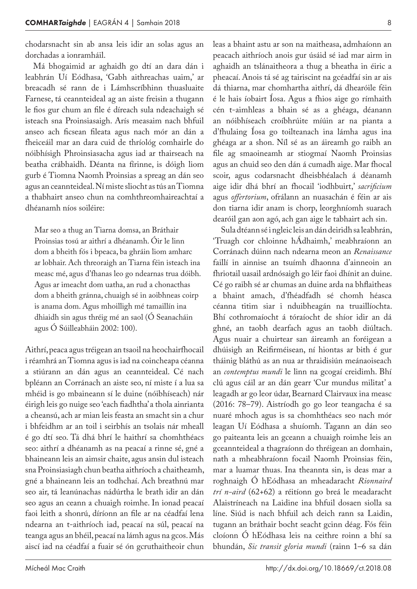chodarsnacht sin ab ansa leis idir an solas agus an dorchadas a ionramháil.

Má bhogaimid ar aghaidh go dtí an dara dán i leabhrán Uí Eódhasa, 'Gabh aithreachas uaim,' ar breacadh sé rann de i Lámhscríbhinn thuasluaite Farnese, tá ceannteideal ag an aiste freisin a thugann le fios gur chum an file é díreach sula ndeachaigh sé isteach sna Proinsiasaigh. Arís measaim nach bhfuil anseo ach ficsean fileata agus nach mór an dán a fheiceáil mar an dara cuid de thríológ comhairle do nóibhísigh Phroinsiasacha agus iad ar thairseach na beatha crábhaidh. Déanta na fírinne, is dóigh liom gurb é Tiomna Naomh Proinsias a spreag an dán seo agus an ceannteideal. Ní miste sliocht as tús an Tiomna a thabhairt anseo chun na comhthreomhaireachtaí a dhéanamh níos soiléire:

Mar seo a thug an Tiarna domsa, an Bráthair Proinsias tosú ar aithrí a dhéanamh. Óir le linn dom a bheith fós i bpeaca, ba ghráin liom amharc ar lobhair. Ach threoraigh an Tiarna féin isteach ina measc mé, agus d'fhanas leo go ndearnas trua dóibh. Agus ar imeacht dom uatha, an rud a chonacthas dom a bheith gránna, chuaigh sé in aoibhneas coirp is anama dom. Agus mhoilligh mé tamaillín ina dhiaidh sin agus thréig mé an saol (Ó Seanacháin agus Ó Súilleabháin 2002: 100).

Aithrí, peaca agus tréigean an tsaoil na heochairfhocail i réamhrá an Tiomna agus is iad na coincheapa céanna a stiúrann an dán agus an ceannteideal. Cé nach bpléann an Corránach an aiste seo, ní miste í a lua sa mhéid is go mbaineann sí le duine (nóibhíseach) nár éirigh leis go nuige seo 'each fiadhtha' a thola ainrianta a cheansú, ach ar mian leis feasta an smacht sin a chur i bhfeidhm ar an toil i seirbhís an tsolais nár mheall é go dtí seo. Tá dhá bhrí le haithrí sa chomhthéacs seo: aithrí a dhéanamh as na peacaí a rinne sé, gné a bhaineann leis an aimsir chaite, agus ansin dul isteach sna Proinsiasiagh chun beatha aithríoch a chaitheamh, gné a bhaineann leis an todhchaí. Ach breathnú mar seo air, tá leanúnachas nádúrtha le brath idir an dán seo agus an ceann a chuaigh roimhe. In ionad peacaí faoi leith a shonrú, díríonn an file ar na céadfaí lena ndearna an t‑aithríoch iad, peacaí na súl, peacaí na teanga agus an bhéil, peacaí na lámh agus na gcos. Más aiscí iad na céadfaí a fuair sé ón gcruthaitheoir chun

leas a bhaint astu ar son na maitheasa, admhaíonn an peacach aithríoch anois gur úsáid sé iad mar airm in aghaidh an tslánaitheora a thug a bheatha in éiric a pheacaí. Anois tá sé ag tairiscint na gcéadfaí sin ar ais dá thiarna, mar chomhartha aithrí, dá dhearóile féin é le hais íobairt Íosa. Agus a fhios aige go rímhaith cén t‑aimhleas a bhain sé as a ghéaga, déanann an nóibhíseach croíbhrúite míúin ar na pianta a d'fhulaing Íosa go toilteanach ina lámha agus ina ghéaga ar a shon. Níl sé as an áireamh go raibh an file ag smaoineamh ar stiogmaí Naomh Proinsias agus an chuid seo den dán á cumadh aige. Mar fhocal scoir, agus codarsnacht dheisbhéalach á déanamh aige idir dhá bhrí an fhocail 'iodhbuirt,' *sacrificium* agus *offertorium*, ofrálann an nuasachán é féin ar ais don tiarna idir anam is chorp, leorghníomh suarach dearóil gan aon agó, ach gan aige le tabhairt ach sin.

Sula dtéann sé i ngleic leis an dán deiridh sa leabhrán, 'Truagh cor chloinne hÁdhaimh,' meabhraíonn an Corránach dúinn nach ndearna meon an *Renaissance* faillí in ainnise an tsuímh dhaonna d'ainneoin an fhriotail uasail ardnósaigh go léir faoi dhínit an duine. Cé go raibh sé ar chumas an duine arda na bhflaitheas a bhaint amach, d'fhéadfadh sé chomh héasca céanna titim siar i nduibheagán na truaillíochta. Bhí cothromaíocht á tóraíocht de shíor idir an dá ghné, an taobh dearfach agus an taobh diúltach. Agus nuair a chuirtear san áireamh an foréigean a dhúisigh an Reifirméisean, ní hiontas ar bith é gur tháinig bláthú as an nua ar thraidisiún meánaoiseach an *contemptus mundi* le linn na gcogaí creidimh. Bhí clú agus cáil ar an dán gearr 'Cur mundus militat' a leagadh ar go leor údar, Bearnard Clairvaux ina measc (2016: 78–79). Aistríodh go go leor teangacha é sa nuaré mhoch agus is sa chomhthéacs seo nach mór leagan Uí Eódhasa a shuíomh. Tagann an dán seo go paiteanta leis an gceann a chuaigh roimhe leis an gceannteideal a thagraíonn do thréigean an domhain, nath a mheabhraíonn focail Naomh Proinsias féin, mar a luamar thuas. Ina theannta sin, is deas mar a roghnaigh Ó hEódhasa an mheadaracht *Rionnaird trí n‑aird* (62+62) a réitíonn go breá le meadaracht Alaistríneach na Laidine ina bhfuil dosaen siolla sa líne. Siúd is nach bhfuil ach deich rann sa Laidin, tugann an bráthair bocht seacht gcinn déag. Fós féin cloíonn Ó hEódhasa leis na ceithre roinn a bhí sa bhundán, *Sic transit gloria mundi* (rainn 1–6 sa dán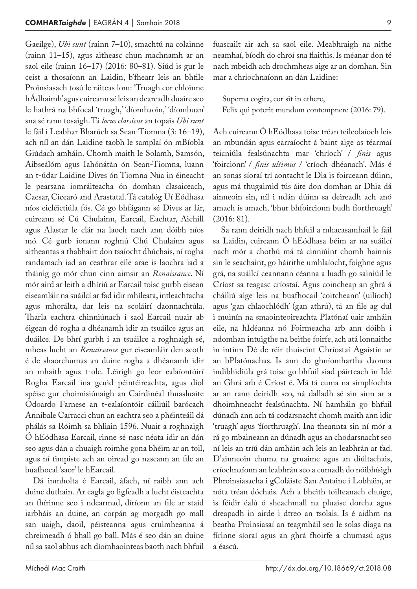Gaeilge), *Ubi sunt* (rainn 7–10), smachtú na colainne (rainn 11–15), agus aitheasc chun machnamh ar an saol eile (rainn 16–17) (2016: 80–81). Siúd is gur le ceist a thosaíonn an Laidin, b'fhearr leis an bhfile Proinsiasach tosú le ráiteas lom: 'Truagh cor chloinne hÁdhaimh' agus cuireann sé leis an dearcadh duairc seo le hathrá na bhfocal 'truagh,' 'díomhaoin,' 'díombuan' sna sé rann tosaigh. Tá *locus classicus* an topais *Ubi sunt* le fáil i Leabhar Bharúch sa Sean-Tiomna (3: 16–19), ach níl an dán Laidine taobh le samplaí ón mBíobla Giúdach amháin. Chomh maith le Solamh, Samsón, Aibseálóm agus Iahónátán ón Sean-Tiomna, luann an t‑údar Laidine Dives ón Tiomna Nua in éineacht le pearsana iomráiteacha ón domhan clasaiceach, Caesar, Cicearó and Arastatal. Tá catalóg Uí Eódhasa níos eicléictiúla fós. Cé go bhfágann sé Dives ar lár, cuireann sé Cú Chulainn, Earcail, Eachtar, Aichill agus Alastar le clár na laoch nach ann dóibh níos mó. Cé gurb ionann roghnú Chú Chulainn agus aitheantas a thabhairt don tsaíocht dhúchais, ní rogha randamach iad an ceathrar eile arae is laochra iad a tháinig go mór chun cinn aimsir an *Renaissance*. Ní mór aird ar leith a dhíriú ar Earcail toisc gurbh eisean eiseamláir na suáilcí ar fad idir mhíleata, intleachtacha agus mhorálta, dar leis na scoláirí daonnachtúla. Tharla eachtra chinniúnach i saol Earcail nuair ab éigean dó rogha a dhéanamh idir an tsuáilce agus an duáilce. De bhrí gurbh í an tsuáilce a roghnaigh sé, mheas lucht an *Renaissance* gur eiseamláir den scoth é de shaorchumas an duine rogha a dhéanamh idir an mhaith agus t‑olc. Léirigh go leor ealaíontóirí Rogha Earcail ina gcuid péintéireachta, agus díol spéise gur choimisiúnaigh an Cairdinéal thuasluaite Odoardo Farnese an t‑ealaíontóir cáiliúil barócach Annibale Carracci chun an eachtra seo a phéinteáil dá phálás sa Róimh sa bhliain 1596. Nuair a roghnaigh Ó hEódhasa Earcail, rinne sé nasc néata idir an dán seo agus dán a chuaigh roimhe gona bhéim ar an toil, agus ní timpiste ach an oiread go nascann an file an buafhocal 'saor' le hEarcail.

Dá inmholta é Earcail, áfach, ní raibh ann ach duine duthain. Ar eagla go ligfeadh a lucht éisteachta an fhírinne seo i ndearmad, díríonn an file ar staid iarbháis an duine, an corpán ag morgadh go mall san uaigh, daoil, péisteanna agus cruimheanna á chreimeadh ó bhall go ball. Más é seo dán an duine níl sa saol abhus ach díomhaointeas baoth nach bhfuil fuascailt air ach sa saol eile. Meabhraigh na nithe neamhaí, bíodh do chroí sna flaithis. Is méanar don té nach mbeidh ach drochmheas aige ar an domhan. Sin mar a chríochnaíonn an dán Laidine:

Superna cogita, cor sit in ethere, Felix qui poterit mundum contempnere (2016: 79).

Ach cuireann Ó hEódhasa toise tréan teileolaíoch leis an mbundán agus earraíocht á baint aige as téarmaí teicniúla fealsúnachta mar 'chríoch' / *finis* agus 'foircionn' / *finis ultimus* / 'críoch dhéanach'. Más é an sonas síoraí trí aontacht le Dia is foirceann dúinn, agus má thugaimid tús áite don domhan ar Dhia dá ainneoin sin, níl i ndán dúinn sa deireadh ach anó amach is amach, 'bhur bhfoircionn budh fíorthruagh' (2016: 81).

Sa rann deiridh nach bhfuil a mhacasamhail le fáil sa Laidin, cuireann Ó hEódhasa béim ar na suáilcí nach mór a chothú má tá cinniúint chomh hainnis sin le seachaint, go háirithe umhlaíocht, foighne agus grá, na suáilcí ceannann céanna a luadh go sainiúil le Críost sa teagasc críostaí. Agus coincheap an ghrá á cháiliú aige leis na buafhocail 'coitcheann' (uilíoch) agus 'gan chlaochlódh' (gan athrú), tá an file ag dul i muinín na smaointeoireachta Platónaí uair amháin eile, na hIdéanna nó Foirmeacha arb ann dóibh i ndomhan intuigthe na beithe foirfe, ach atá lonnaithe in intinn Dé de réir thuiscint Chríostaí Agaistín ar an bPlatónachas. Is ann do ghníomhartha daonna indibhidiúla grá toisc go bhfuil siad páirteach in Idé an Ghrá arb é Críost é. Má tá cuma na simplíochta ar an rann deiridh seo, ná dalladh sé sin sinn ar a dhoimhneacht fealsúnachta. Ní hamháin go bhfuil dúnadh ann ach tá codarsnacht chomh maith ann idir 'truagh' agus 'fíorthruagh'. Ina theannta sin ní mór a rá go mbaineann an dúnadh agus an chodarsnacht seo ní leis an tríú dán amháin ach leis an leabhrán ar fad. D'ainneoin chuma na gruaime agus an diúltachais, críochnaíonn an leabhrán seo a cumadh do nóibhísigh Phroinsiasacha i gColáiste San Antaine i Lobháin, ar nóta tréan dóchais. Ach a bheith toilteanach chuige, is féidir éalú ó sheachmall na pluaise dorcha agus dreapadh in airde i dtreo an tsolais. Is é aidhm na beatha Proinsiasaí an teagmháil seo le solas diaga na fírinne síoraí agus an ghrá fhoirfe a chumasú agus a éascú.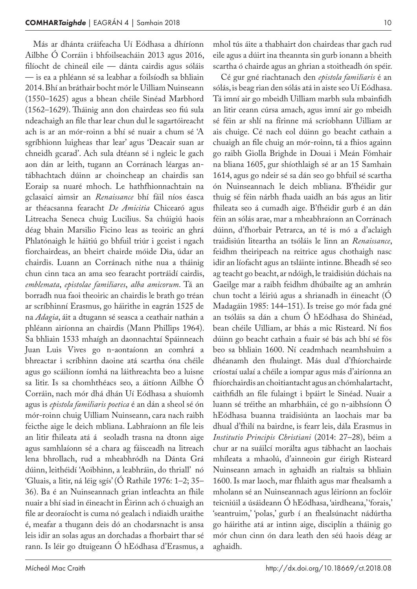Más ar dhánta cráifeacha Uí Eódhasa a dhíríonn Ailbhe Ó Corráin i bhfoilseacháin 2013 agus 2016, filíocht de chineál eile — dánta cairdis agus sóláis — is ea a phléann sé sa leabhar a foilsíodh sa bhliain 2014. Bhí an bráthair bocht mór le Uilliam Nuinseann (1550–1625) agus a bhean chéile Sinéad Marbhord (1562–1629). Tháinig ann don chairdeas seo fiú sula ndeachaigh an file thar lear chun dul le sagartóireacht ach is ar an mór-roinn a bhí sé nuair a chum sé 'A sgríbhionn luigheas thar lear' agus 'Deacair suan ar chneidh gcarad'. Ach sula dtéann sé i ngleic le gach aon dán ar leith, tugann an Corránach léargas antábhachtach dúinn ar choincheap an chairdis san Eoraip sa nuaré mhoch. Le hathfhionnachtain na gclasaicí aimsir an *Renaissance* bhí fáil níos éasca ar théacsanna fearacht *De Amicitia* Chicearó agus Litreacha Seneca chuig Lucilius. Sa chúigiú haois déag bhain Marsilio Ficino leas as teoiric an ghrá Phlatónaigh le háitiú go bhfuil triúr i gceist i ngach fíorchairdeas, an bheirt chairde móide Dia, údar an chairdis. Luann an Corránach nithe nua a tháinig chun cinn taca an ama seo fearacht portráidí cairdis, *emblemata*, *epistolae familiares*, *alba amicorum*. Tá an borradh nua faoi theoiric an chairdis le brath go tréan ar scríbhinní Erasmus, go háirithe in eagrán 1525 de na *Adagia*, áit a dtugann sé seasca a ceathair nathán a phléann airíonna an chairdis (Mann Phillips 1964). Sa bhliain 1533 mhaígh an daonnachtaí Spáinneach Juan Luis Vives go n‑aontaíonn an comhrá a bhreactar i scríbhinn daoine atá scartha óna chéile agus go scáilíonn íomhá na láithreachta beo a luisne sa litir. Is sa chomhthéacs seo, a áitíonn Ailbhe Ó Corráin, nach mór dhá dhán Uí Eódhasa a shuíomh agus is *epistola familiaris poetica* é an dán a sheol sé ón mór-roinn chuig Uilliam Nuinseann, cara nach raibh feicthe aige le deich mbliana. Labhraíonn an file leis an litir fhileata atá á seoladh trasna na dtonn aige agus samhlaíonn sé a chara ag fáisceadh na litreach lena bhrollach, rud a mheabhródh na Dánta Grá dúinn, leithéidí 'Aoibhinn, a leabhráin, do thriall' nó 'Gluais, a litir, ná léig sgís' (Ó Rathile 1976: 1–2; 35– 36). Ba é an Nuinseannach grian intleachta an fhile nuair a bhí siad in éineacht in Éirinn ach ó chuaigh an file ar deoraíocht is cuma nó gealach i ndiaidh uraithe é, meafar a thugann deis dó an chodarsnacht is ansa leis idir an solas agus an dorchadas a fhorbairt thar sé rann. Is léir go dtuigeann Ó hEódhasa d'Erasmus, a

mhol tús áite a thabhairt don chairdeas thar gach rud eile agus a dúirt ina theannta sin gurb ionann a bheith scartha ó chairde agus an ghrian a stoitheadh ón spéir.

Cé gur gné riachtanach den *epistola familiaris* é an sólás, is beag rian den sólás atá in aiste seo Uí Eódhasa. Tá imní air go mbeidh Uilliam marbh sula mbainfidh an litir ceann cúrsa amach, agus imní air go mbeidh sé féin ar shlí na fírinne má scríobhann Uilliam ar ais chuige. Cé nach eol dúinn go beacht cathain a chuaigh an file chuig an mór-roinn, tá a fhios againn go raibh Giolla Brighde in Douai i Meán Fómhair na bliana 1605, gur shíothlaigh sé ar an 15 Samhain 1614, agus go ndeir sé sa dán seo go bhfuil sé scartha ón Nuinseannach le deich mbliana. B'fhéidir gur thuig sé féin nárbh fhada uaidh an bás agus an litir fhileata seo á cumadh aige. B'fhéidir gurb é an dán féin an sólás arae, mar a mheabhraíonn an Corránach dúinn, d'fhorbair Petrarca, an té is mó a d'aclaigh traidisiún liteartha an tsóláis le linn an *Renaissance*, feidhm theiripeach na reitrice agus chothaigh nasc idir an líofacht agus an tsláinte intinne. Bheadh sé seo ag teacht go beacht, ar ndóigh, le traidisiún dúchais na Gaeilge mar a raibh feidhm dhúbailte ag an amhrán chun tocht a léiriú agus a shrianadh in éineacht (Ó Madagáin 1985: 144–151). Is treise go mór fada gné an tsóláis sa dán a chum Ó hEódhasa do Shinéad, bean chéile Uilliam, ar bhás a mic Risteard. Ní fios dúinn go beacht cathain a fuair sé bás ach bhí sé fós beo sa bhliain 1600. Ní ceadmhach neamhshuim a dhéanamh den fhulaingt. Más dual d'fhíorchairde críostaí ualaí a chéile a iompar agus más d'airíonna an fhíorchairdis an choitiantacht agus an chómhalartacht, caithfidh an file fulaingt i bpáirt le Sinéad. Nuair a luann sé tréithe an mharbháin, cé go n‑aibhsíonn Ó hEódhasa buanna traidisiúnta an laochais mar ba dhual d'fhilí na bairdne, is fearr leis, dála Erasmus in *Institutio Principis Christiani* (2014: 27–28), béim a chur ar na suáilcí morálta agus tábhacht an laochais mhíleata a mhaolú, d'ainneoin gur éirigh Risteard Nuinseann amach in aghaidh an rialtais sa bhliain 1600. Is mar laoch, mar fhlaith agus mar fhealsamh a mholann sé an Nuinseannach agus léiríonn an foclóir teicniúil a úsáideann Ó hEódhasa, 'airdheana,' 'forais,' 'seantruim,' 'polas,' gurb í an fhealsúnacht nádúrtha go háirithe atá ar intinn aige, disciplín a tháinig go mór chun cinn ón dara leath den séú haois déag ar aghaidh.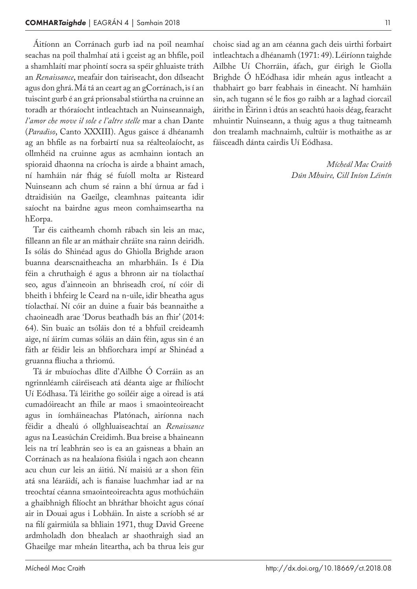Áitíonn an Corránach gurb iad na poil neamhaí seachas na poil thalmhaí atá i gceist ag an bhfile, poil a shamhlaítí mar phointí socra sa spéir ghluaiste tráth an *Renaissance*, meafair don tairiseacht, don dílseacht agus don ghrá. Má tá an ceart ag an gCorránach, is í an tuiscint gurb é an grá prionsabal stiúrtha na cruinne an toradh ar thóraíocht intleachtach an Nuinseannaigh, *l'amor che move il sole e l'altre stelle* mar a chan Dante (*Paradiso*, Canto XXXIII). Agus gaisce á dhéanamh ag an bhfile as na forbairtí nua sa réalteolaíocht, as ollmhéid na cruinne agus as acmhainn iontach an spioraid dhaonna na críocha is airde a bhaint amach, ní hamháin nár fhág sé fuíoll molta ar Risteard Nuinseann ach chum sé rainn a bhí úrnua ar fad i dtraidisiún na Gaeilge, cleamhnas paiteanta idir saíocht na bairdne agus meon comhaimseartha na hEorpa.

Tar éis caitheamh chomh rábach sin leis an mac, filleann an file ar an máthair chráite sna rainn deiridh. Is sólás do Shinéad agus do Ghiolla Brighde araon buanna dearscnaitheacha an mharbháin. Is é Dia féin a chruthaigh é agus a bhronn air na tíolacthaí seo, agus d'ainneoin an bhriseadh croí, ní cóir di bheith i bhfeirg le Ceard na n‑uile, idir bheatha agus tíolacthaí. Ní cóir an duine a fuair bás beannaithe a chaoineadh arae 'Dorus beathadh bás an fhir' (2014: 64). Sin buaic an tsóláis don té a bhfuil creideamh aige, ní áirím cumas sóláis an dáin féin, agus sin é an fáth ar féidir leis an bhfíorchara impí ar Shinéad a gruanna fliucha a thriomú.

Tá ár mbuíochas dlite d'Ailbhe Ó Corráin as an ngrinnléamh cáiréiseach atá déanta aige ar fhilíocht Uí Eódhasa. Tá léirithe go soiléir aige a oiread is atá cumadóireacht an fhile ar maos i smaointeoireacht agus in íomháineachas Platónach, airíonna nach féidir a dhealú ó ollghluaiseachtaí an *Renaissance* agus na Leasúchán Creidimh. Bua breise a bhaineann leis na trí leabhrán seo is ea an gaisneas a bhain an Corránach as na healaíona físiúla i ngach aon cheann acu chun cur leis an áitiú. Ní maisiú ar a shon féin atá sna léaráidí, ach is fianaise luachmhar iad ar na treochtaí céanna smaointeoireachta agus mothúcháin a ghaibhnigh filíocht an bhráthar bhoicht agus cónaí air in Douai agus i Lobháin. In aiste a scríobh sé ar na filí gairmiúla sa bhliain 1971, thug David Greene ardmholadh don bhealach ar shaothraigh siad an Ghaeilge mar mheán liteartha, ach ba thrua leis gur

choisc siad ag an am céanna gach deis uirthi forbairt intleachtach a dhéanamh (1971: 49). Léiríonn taighde Ailbhe Uí Chorráin, áfach, gur éirigh le Giolla Brighde Ó hEódhasa idir mheán agus intleacht a thabhairt go barr feabhais in éineacht. Ní hamháin sin, ach tugann sé le fios go raibh ar a laghad ciorcail áirithe in Éirinn i dtús an seachtú haois déag, fearacht mhuintir Nuinseann, a thuig agus a thug taitneamh don trealamh machnaimh, cultúir is mothaithe as ar fáisceadh dánta cairdis Uí Eódhasa.

> *Mícheál Mac Craith Dún Mhuire, Cill Iníon Léinín*